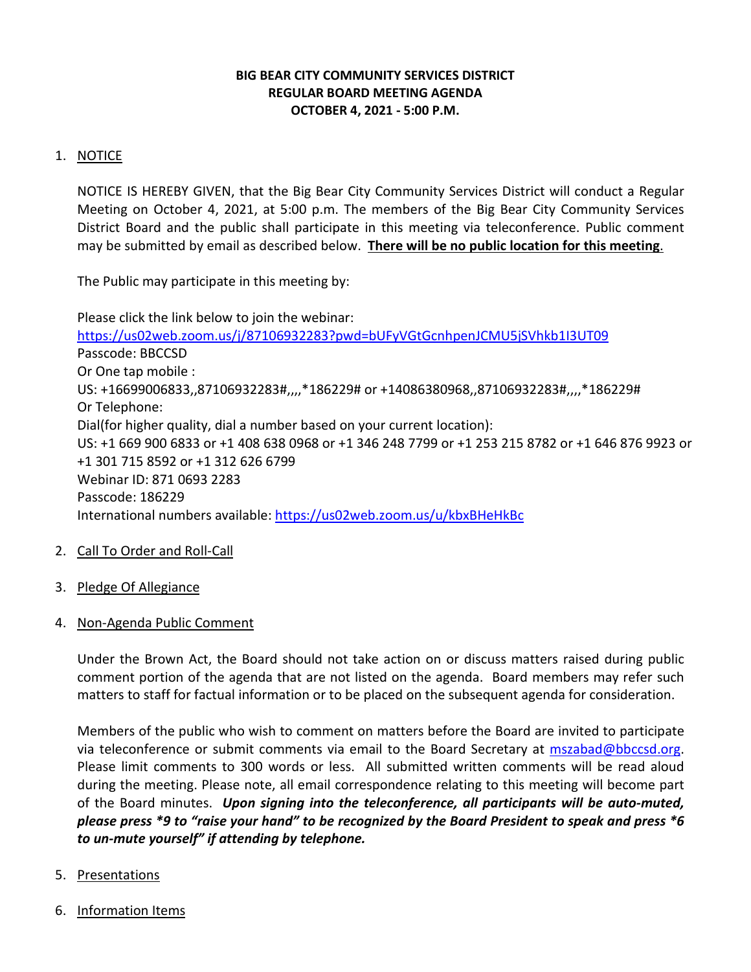### **BIG BEAR CITY COMMUNITY SERVICES DISTRICT REGULAR BOARD MEETING AGENDA OCTOBER 4, 2021 - 5:00 P.M.**

# 1. NOTICE

NOTICE IS HEREBY GIVEN, that the Big Bear City Community Services District will conduct a Regular Meeting on October 4, 2021, at 5:00 p.m. The members of the Big Bear City Community Services District Board and the public shall participate in this meeting via teleconference. Public comment may be submitted by email as described below. **There will be no public location for this meeting**.

The Public may participate in this meeting by:

Please click the link below to join the webinar: <https://us02web.zoom.us/j/87106932283?pwd=bUFyVGtGcnhpenJCMU5jSVhkb1I3UT09> Passcode: BBCCSD Or One tap mobile : US: +16699006833,,87106932283#,,,,\*186229# or +14086380968,,87106932283#,,,,\*186229# Or Telephone: Dial(for higher quality, dial a number based on your current location): US: +1 669 900 6833 or +1 408 638 0968 or +1 346 248 7799 or +1 253 215 8782 or +1 646 876 9923 or +1 301 715 8592 or +1 312 626 6799 Webinar ID: 871 0693 2283 Passcode: 186229 International numbers available:<https://us02web.zoom.us/u/kbxBHeHkBc>

- 2. Call To Order and Roll-Call
- 3. Pledge Of Allegiance
- 4. Non-Agenda Public Comment

Under the Brown Act, the Board should not take action on or discuss matters raised during public comment portion of the agenda that are not listed on the agenda. Board members may refer such matters to staff for factual information or to be placed on the subsequent agenda for consideration.

Members of the public who wish to comment on matters before the Board are invited to participate via teleconference or submit comments via email to the Board Secretary at [mszabad@bbccsd.org.](mailto:mszabad@bbccsd.org) Please limit comments to 300 words or less. All submitted written comments will be read aloud during the meeting. Please note, all email correspondence relating to this meeting will become part of the Board minutes. *Upon signing into the teleconference, all participants will be auto-muted, please press \*9 to "raise your hand" to be recognized by the Board President to speak and press \*6 to un-mute yourself" if attending by telephone.*

- 5. Presentations
- 6. Information Items